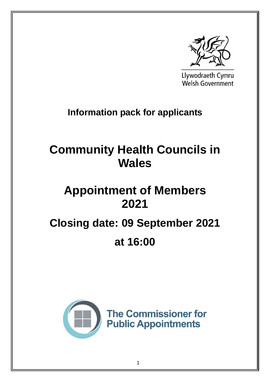

Llywodraeth Cymru Welsh Government

# **Information pack for applicants**

# **Community Health Councils in Wales**

# **Appointment of Members 2021**

# **Closing date: 09 September 2021**

# **at 16:00**

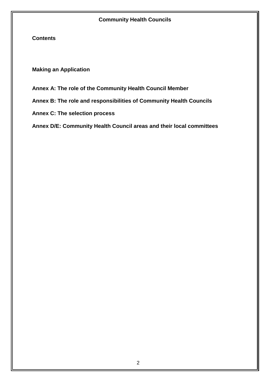**Contents**

**Making an Application**

**Annex A: The role of the Community Health Council Member** 

**Annex B: The role and responsibilities of Community Health Councils**

**Annex C: The selection process**

**Annex D/E: Community Health Council areas and their local committees**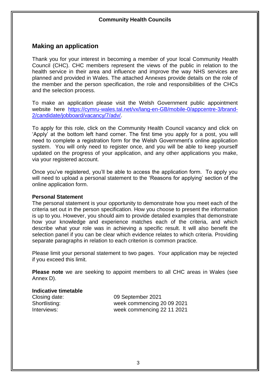# **Making an application**

Thank you for your interest in becoming a member of your local Community Health Council (CHC). CHC members represent the views of the public in relation to the health service in their area and influence and improve the way NHS services are planned and provided in Wales. The attached Annexes provide details on the role of the member and the person specification, the role and responsibilities of the CHCs and the selection process.

To make an application please visit the Welsh Government public appointment website here [https://cymru-wales.tal.net/vx/lang-en-GB/mobile-0/appcentre-3/brand-](https://cymru-wales.tal.net/vx/lang-en-GB/mobile-0/appcentre-3/brand-2/candidate/jobboard/vacancy/7/adv/)[2/candidate/jobboard/vacancy/7/adv/.](https://cymru-wales.tal.net/vx/lang-en-GB/mobile-0/appcentre-3/brand-2/candidate/jobboard/vacancy/7/adv/)

To apply for this role, click on the Community Health Council vacancy and click on 'Apply' at the bottom left hand corner. The first time you apply for a post, you will need to complete a registration form for the Welsh Government's online application system. You will only need to register once, and you will be able to keep yourself updated on the progress of your application, and any other applications you make, via your registered account.

Once you've registered, you'll be able to access the application form. To apply you will need to upload a personal statement to the 'Reasons for applying' section of the online application form.

#### **Personal Statement**

The personal statement is your opportunity to demonstrate how you meet each of the criteria set out in the person specification. How you choose to present the information is up to you. However, you should aim to provide detailed examples that demonstrate how your knowledge and experience matches each of the criteria, and which describe what your role was in achieving a specific result. It will also benefit the selection panel if you can be clear which evidence relates to which criteria. Providing separate paragraphs in relation to each criterion is common practice.

Please limit your personal statement to two pages. Your application may be rejected if you exceed this limit.

**Please note** we are seeking to appoint members to all CHC areas in Wales (see Annex D).

#### **Indicative timetable**

Closing date: 09 September 2021 Shortlisting: week commencing 20 09 2021 Interviews: week commencing 22 11 2021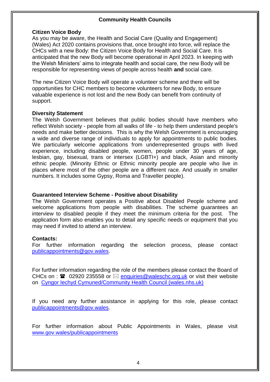#### **Citizen Voice Body**

As you may be aware, the Health and Social Care (Quality and Engagement) (Wales) Act 2020 contains provisions that, once brought into force, will replace the CHCs with a new Body: the Citizen Voice Body for Health and Social Care. It is anticipated that the new Body will become operational in April 2023. In keeping with the Welsh Ministers' aims to integrate health and social care, the new Body will be responsible for representing views of people across health **and** social care.

The new Citizen Voice Body will operate a volunteer scheme and there will be opportunities for CHC members to become volunteers for new Body, to ensure valuable experience is not lost and the new Body can benefit from continuity of support.

#### **Diversity Statement**

The Welsh Government believes that public bodies should have members who reflect Welsh society - people from all walks of life - to help them understand people's needs and make better decisions. This is why the Welsh Government is encouraging a wide and diverse range of individuals to apply for appointments to public bodies. We particularly welcome applications from underrepresented groups with lived experience, including disabled people, women, people under 30 years of age, lesbian, gay, bisexual, trans or intersex (LGBTI+) and black, Asian and minority ethnic people. (Minority Ethnic or Ethnic minority people are people who live in places where most of the other people are a different race. And usually in smaller numbers. It includes some Gypsy, Roma and Traveller people).

#### **Guaranteed Interview Scheme - Positive about Disability**

The Welsh Government operates a Positive about Disabled People scheme and welcome applications from people with disabilities. The scheme guarantees an interview to disabled people if they meet the minimum criteria for the post. The application form also enables you to detail any specific needs or equipment that you may need if invited to attend an interview.

#### **Contacts:**

For further information regarding the selection process, please contact [publicappointments@gov.wales.](mailto:publicappointments@gov.wales)

For further information regarding the role of the members please contact the Board of CHCs on :  $\mathbf{\hat{m}}$  02920 235558 or  $\boxtimes$  [enquiries@waleschc.org.uk](mailto:enquiries@waleschc.org.uk) or visit their website on [Cyngor Iechyd Cymuned/Community Health Council \(wales.nhs.uk\)](http://www.wales.nhs.uk/sitesplus/899/home)

If you need any further assistance in applying for this role, please contact [publicappointments@gov.wales.](mailto:publicappointments@gov.wales)

For further information about Public Appointments in Wales, please visit [www.gov.wales/publicappointments](http://www.gov.wales/publicappointments)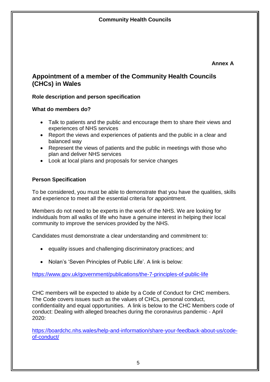**Annex A**

# **Appointment of a member of the Community Health Councils (CHCs) in Wales**

## **Role description and person specification**

#### **What do members do?**

- Talk to patients and the public and encourage them to share their views and experiences of NHS services
- Report the views and experiences of patients and the public in a clear and balanced way
- Represent the views of patients and the public in meetings with those who plan and deliver NHS services
- Look at local plans and proposals for service changes

## **Person Specification**

To be considered, you must be able to demonstrate that you have the qualities, skills and experience to meet all the essential criteria for appointment.

Members do not need to be experts in the work of the NHS. We are looking for individuals from all walks of life who have a genuine interest in helping their local community to improve the services provided by the NHS.

Candidates must demonstrate a clear understanding and commitment to:

- equality issues and challenging discriminatory practices; and
- Nolan's 'Seven Principles of Public Life'. A link is below:

<https://www.gov.uk/government/publications/the-7-principles-of-public-life>

CHC members will be expected to abide by a Code of Conduct for CHC members. The Code covers issues such as the values of CHCs, personal conduct, confidentiality and equal opportunities. A link is below to the CHC Members code of conduct: Dealing with alleged breaches during the coronavirus pandemic - April 2020:

[https://boardchc.nhs.wales/help-and-information/share-your-feedback-about-us/code](https://eur01.safelinks.protection.outlook.com/?url=https%3A%2F%2Fboardchc.nhs.wales%2Fhelp-and-information%2Fshare-your-feedback-about-us%2Fcode-of-conduct%2F&data=04%7C01%7CCaroline.Sparks%40gov.wales%7C5b1f6d99368f468157fa08d9362ca2c0%7Ca2cc36c592804ae78887d06dab89216b%7C0%7C0%7C637600387597340233%7CUnknown%7CTWFpbGZsb3d8eyJWIjoiMC4wLjAwMDAiLCJQIjoiV2luMzIiLCJBTiI6Ik1haWwiLCJXVCI6Mn0%3D%7C1000&sdata=VUJnybO32z5xNOBxHW2ajJ2PNyzF%2FifhlFJ7n4hvb%2FI%3D&reserved=0)[of-conduct/](https://eur01.safelinks.protection.outlook.com/?url=https%3A%2F%2Fboardchc.nhs.wales%2Fhelp-and-information%2Fshare-your-feedback-about-us%2Fcode-of-conduct%2F&data=04%7C01%7CCaroline.Sparks%40gov.wales%7C5b1f6d99368f468157fa08d9362ca2c0%7Ca2cc36c592804ae78887d06dab89216b%7C0%7C0%7C637600387597340233%7CUnknown%7CTWFpbGZsb3d8eyJWIjoiMC4wLjAwMDAiLCJQIjoiV2luMzIiLCJBTiI6Ik1haWwiLCJXVCI6Mn0%3D%7C1000&sdata=VUJnybO32z5xNOBxHW2ajJ2PNyzF%2FifhlFJ7n4hvb%2FI%3D&reserved=0)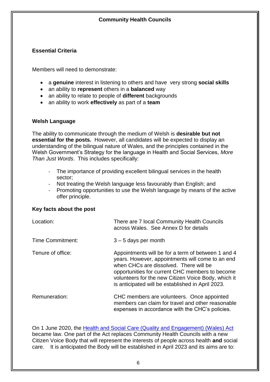## **Essential Criteria**

Members will need to demonstrate:

- a **genuine** interest in listening to others and have very strong **social skills**
- an ability to **represent** others in a **balanced** way
- an ability to relate to people of **different** backgrounds
- an ability to work **effectively** as part of a **team**

## **Welsh Language**

The ability to communicate through the medium of Welsh is **desirable but not essential for the posts.** However, all candidates will be expected to display an understanding of the bilingual nature of Wales, and the principles contained in the Welsh Government's Strategy for the language in Health and Social Services, *More Than Just Words*. This includes specifically:

- The importance of providing excellent bilingual services in the health sector;
- Not treating the Welsh language less favourably than English; and
- Promoting opportunities to use the Welsh language by means of the active offer principle.

#### **Key facts about the post**

| Location:         | There are 7 local Community Health Councils<br>across Wales. See Annex D for details                                                                                                                                                                                                                            |
|-------------------|-----------------------------------------------------------------------------------------------------------------------------------------------------------------------------------------------------------------------------------------------------------------------------------------------------------------|
| Time Commitment:  | $3 - 5$ days per month                                                                                                                                                                                                                                                                                          |
| Tenure of office: | Appointments will be for a term of between 1 and 4<br>years. However, appointments will come to an end<br>when CHCs are dissolved. There will be<br>opportunities for current CHC members to become<br>volunteers for the new Citizen Voice Body, which it<br>is anticipated will be established in April 2023. |
| Remuneration:     | CHC members are volunteers. Once appointed<br>members can claim for travel and other reasonable<br>expenses in accordance with the CHC's policies.                                                                                                                                                              |

On 1 June 2020, the [Health and Social Care \(Quality and Engagement\) \(Wales\) Act](https://www.legislation.gov.uk/asc/2020/1/contents/enacted) became law. One part of the Act replaces Community Health Councils with a new Citizen Voice Body that will represent the interests of people across health **and** social care. It is anticipated the Body will be established in April 2023 and its aims are to: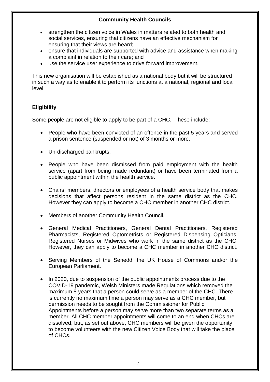- strengthen the citizen voice in Wales in matters related to both health and social services, ensuring that citizens have an effective mechanism for ensuring that their views are heard;
- ensure that individuals are supported with advice and assistance when making a complaint in relation to their care; and
- use the service user experience to drive forward improvement.

This new organisation will be established as a national body but it will be structured in such a way as to enable it to perform its functions at a national, regional and local level.

## **Eligibility**

Some people are not eligible to apply to be part of a CHC. These include:

- People who have been convicted of an offence in the past 5 years and served a prison sentence (suspended or not) of 3 months or more.
- Un-discharged bankrupts.
- People who have been dismissed from paid employment with the health service (apart from being made redundant) or have been terminated from a public appointment within the health service.
- Chairs, members, directors or employees of a health service body that makes decisions that affect persons resident in the same district as the CHC. However they can apply to become a CHC member in another CHC district.
- Members of another Community Health Council.
- General Medical Practitioners, General Dental Practitioners, Registered Pharmacists, Registered Optometrists or Registered Dispensing Opticians, Registered Nurses or Midwives who work in the same district as the CHC. However, they can apply to become a CHC member in another CHC district.
- Serving Members of the Senedd, the UK House of Commons and/or the European Parliament.
- In 2020, due to suspension of the public appointments process due to the COVID-19 pandemic, Welsh Ministers made Regulations which removed the maximum 8 years that a person could serve as a member of the CHC. There is currently no maximum time a person may serve as a CHC member, but permission needs to be sought from the Commissioner for Public Appointments before a person may serve more than two separate terms as a member. All CHC member appointments will come to an end when CHCs are dissolved, but, as set out above, CHC members will be given the opportunity to become volunteers with the new Citizen Voice Body that will take the place of CHCs.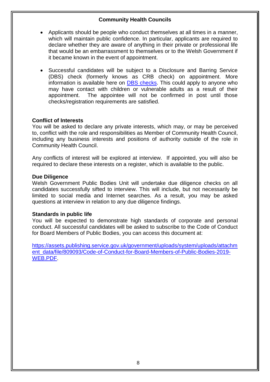- Applicants should be people who conduct themselves at all times in a manner, which will maintain public confidence. In particular, applicants are required to declare whether they are aware of anything in their private or professional life that would be an embarrassment to themselves or to the Welsh Government if it became known in the event of appointment.
- Successful candidates will be subject to a Disclosure and Barring Service (DBS) check (formerly knows as CRB check) on appointment. More information is available here on [DBS checks.](http://www.homeoffice.gov.uk/agencies-public-bodies/dbs) This could apply to anyone who may have contact with children or vulnerable adults as a result of their appointment. The appointee will not be confirmed in post until those checks/registration requirements are satisfied.

#### **Conflict of Interests**

You will be asked to declare any private interests, which may, or may be perceived to, conflict with the role and responsibilities as Member of Community Health Council, including any business interests and positions of authority outside of the role in Community Health Council.

Any conflicts of interest will be explored at interview. If appointed, you will also be required to declare these interests on a register, which is available to the public.

#### **Due Diligence**

Welsh Government Public Bodies Unit will undertake due diligence checks on all candidates successfully sifted to interview. This will include, but not necessarily be limited to social media and Internet searches. As a result, you may be asked questions at interview in relation to any due diligence findings.

#### **Standards in public life**

You will be expected to demonstrate high standards of corporate and personal conduct. All successful candidates will be asked to subscribe to the Code of Conduct for Board Members of Public Bodies, you can access this document at:

[https://assets.publishing.service.gov.uk/government/uploads/system/uploads/attachm](https://assets.publishing.service.gov.uk/government/uploads/system/uploads/attachment_data/file/809093/Code-of-Conduct-for-Board-Members-of-Public-Bodies-2019-WEB.PDF) [ent\\_data/file/809093/Code-of-Conduct-for-Board-Members-of-Public-Bodies-2019-](https://assets.publishing.service.gov.uk/government/uploads/system/uploads/attachment_data/file/809093/Code-of-Conduct-for-Board-Members-of-Public-Bodies-2019-WEB.PDF) [WEB.PDF.](https://assets.publishing.service.gov.uk/government/uploads/system/uploads/attachment_data/file/809093/Code-of-Conduct-for-Board-Members-of-Public-Bodies-2019-WEB.PDF)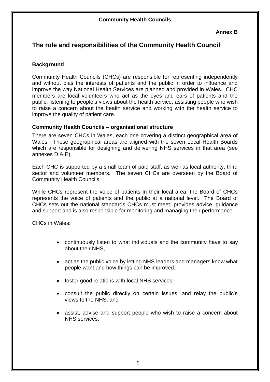# **The role and responsibilities of the Community Health Council**

#### **Background**

Community Health Councils (CHCs) are responsible for representing independently and without bias the interests of patients and the public in order to influence and improve the way National Health Services are planned and provided in Wales. CHC members are local volunteers who act as the eyes and ears of patients and the public, listening to people's views about the health service, assisting people who wish to raise a concern about the health service and working with the health service to improve the quality of patient care.

#### **Community Health Councils – organisational structure**

There are seven CHCs in Wales, each one covering a distinct geographical area of Wales. These geographical areas are aligned with the seven Local Health Boards which are responsible for designing and delivering NHS services in that area (see annexes D & E).

Each CHC is supported by a small team of paid staff, as well as local authority, third sector and volunteer members. The seven CHCs are overseen by the Board of Community Health Councils.

While CHCs represent the voice of patients in their local area, the Board of CHCs represents the voice of patients and the public at a national level. The Board of CHCs sets out the national standards CHCs must meet, provides advice, guidance and support and is also responsible for monitoring and managing their performance.

CHCs in Wales:

- continuously listen to what individuals and the community have to say about their NHS,
- act as the public voice by letting NHS leaders and managers know what people want and how things can be improved,
- foster good relations with local NHS services,
- consult the public directly on certain issues; and relay the public's views to the NHS, and
- assist, advise and support people who wish to raise a concern about NHS services.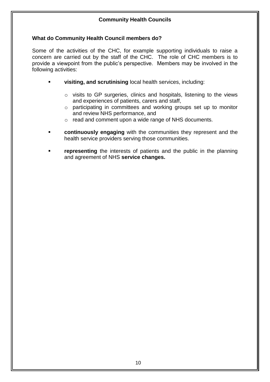#### **What do Community Health Council members do?**

Some of the activities of the CHC, for example supporting individuals to raise a concern are carried out by the staff of the CHC. The role of CHC members is to provide a viewpoint from the public's perspective. Members may be involved in the following activities:

- **visiting, and scrutinising** local health services, including:
	- o visits to GP surgeries, clinics and hospitals, listening to the views and experiences of patients, carers and staff,
	- o participating in committees and working groups set up to monitor and review NHS performance, and
	- o read and comment upon a wide range of NHS documents.
- **continuously engaging** with the communities they represent and the health service providers serving those communities.
- **representing** the interests of patients and the public in the planning and agreement of NHS **service changes.**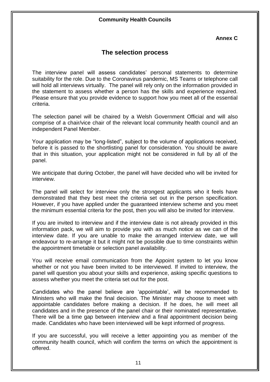#### **Annex C**

## **The selection process**

The interview panel will assess candidates' personal statements to determine suitability for the role. Due to the Coronavirus pandemic, MS Teams or telephone call will hold all interviews virtually. The panel will rely only on the information provided in the statement to assess whether a person has the skills and experience required. Please ensure that you provide evidence to support how you meet all of the essential criteria.

The selection panel will be chaired by a Welsh Government Official and will also comprise of a chair/vice chair of the relevant local community health council and an independent Panel Member.

Your application may be "long-listed", subject to the volume of applications received, before it is passed to the shortlisting panel for consideration. You should be aware that in this situation, your application might not be considered in full by all of the panel.

We anticipate that during October, the panel will have decided who will be invited for interview.

The panel will select for interview only the strongest applicants who it feels have demonstrated that they best meet the criteria set out in the person specification. However, if you have applied under the guaranteed interview scheme and you meet the minimum essential criteria for the post, then you will also be invited for interview.

If you are invited to interview and if the interview date is not already provided in this information pack, we will aim to provide you with as much notice as we can of the interview date. If you are unable to make the arranged interview date, we will endeavour to re-arrange it but it might not be possible due to time constraints within the appointment timetable or selection panel availability.

You will receive email communication from the Appoint system to let you know whether or not you have been invited to be interviewed. If invited to interview, the panel will question you about your skills and experience, asking specific questions to assess whether you meet the criteria set out for the post.

Candidates who the panel believe are 'appointable', will be recommended to Ministers who will make the final decision. The Minister may choose to meet with appointable candidates before making a decision. If he does, he will meet all candidates and in the presence of the panel chair or their nominated representative. There will be a time gap between interview and a final appointment decision being made. Candidates who have been interviewed will be kept informed of progress.

If you are successful, you will receive a letter appointing you as member of the community health council, which will confirm the terms on which the appointment is offered.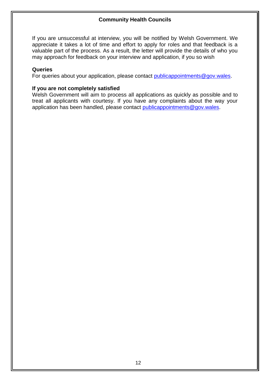If you are unsuccessful at interview, you will be notified by Welsh Government. We appreciate it takes a lot of time and effort to apply for roles and that feedback is a valuable part of the process. As a result, the letter will provide the details of who you may approach for feedback on your interview and application, if you so wish

#### **Queries**

For queries about your application, please contact [publicappointments@gov.wales.](mailto:publicappointments@gov.wales)

#### **If you are not completely satisfied**

Welsh Government will aim to process all applications as quickly as possible and to treat all applicants with courtesy. If you have any complaints about the way your application has been handled, please contact [publicappointments@gov.wales.](mailto:publicappointments@gov.wales)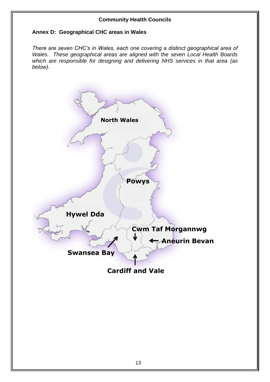#### **Annex D: Geographical CHC areas in Wales**

*There are seven CHC's in Wales, each one covering a distinct geographical area of Wales. These geographical areas are aligned with the seven Local Health Boards which are responsible for designing and delivering NHS services in that area (as below).*